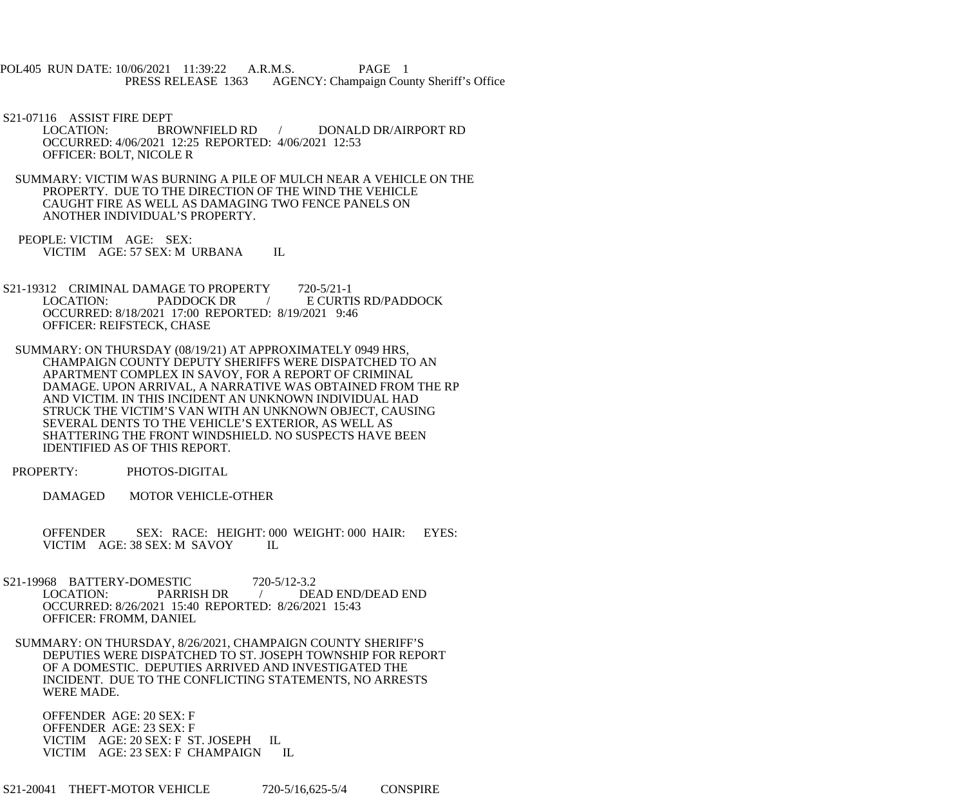POL405 RUN DATE: 10/06/2021 11:39:22 A.R.M.S. PAGE 1 PRESS RELEASE 1363 AGENCY: Champaign County Sheriff's Office

S21-07116 ASSIST FIRE DEPT<br>LOCATION: BR

BROWNFIELD RD / DONALD DR/AIRPORT RD OCCURRED: 4/06/2021 12:25 REPORTED: 4/06/2021 12:53 OFFICER: BOLT, NICOLE R

 SUMMARY: VICTIM WAS BURNING A PILE OF MULCH NEAR A VEHICLE ON THE PROPERTY. DUE TO THE DIRECTION OF THE WIND THE VEHICLE CAUGHT FIRE AS WELL AS DAMAGING TWO FENCE PANELS ON ANOTHER INDIVIDUAL'S PROPERTY.

 PEOPLE: VICTIM AGE: SEX: VICTIM AGE: 57 SEX: M URBANA IL

S21-19312 CRIMINAL DAMAGE TO PROPERTY 720-5/21-1<br>LOCATION: PADDOCK DR / E CURTI / E CURTIS RD/PADDOCK OCCURRED: 8/18/2021 17:00 REPORTED: 8/19/2021 9:46 OFFICER: REIFSTECK, CHASE

 SUMMARY: ON THURSDAY (08/19/21) AT APPROXIMATELY 0949 HRS, CHAMPAIGN COUNTY DEPUTY SHERIFFS WERE DISPATCHED TO AN APARTMENT COMPLEX IN SAVOY, FOR A REPORT OF CRIMINAL DAMAGE. UPON ARRIVAL, A NARRATIVE WAS OBTAINED FROM THE RP AND VICTIM. IN THIS INCIDENT AN UNKNOWN INDIVIDUAL HAD STRUCK THE VICTIM'S VAN WITH AN UNKNOWN OBJECT, CAUSING SEVERAL DENTS TO THE VEHICLE'S EXTERIOR, AS WELL AS SHATTERING THE FRONT WINDSHIELD. NO SUSPECTS HAVE BEEN IDENTIFIED AS OF THIS REPORT.

PROPERTY: PHOTOS-DIGITAL

DAMAGED MOTOR VEHICLE-OTHER

 OFFENDER SEX: RACE: HEIGHT: 000 WEIGHT: 000 HAIR: EYES: VICTIM AGE: 38 SEX: M SAVOY IL

- S21-19968 BATTERY-DOMESTIC 720-5/12-3.2<br>LOCATION: PARRISH DR / DE LOCATION: PARRISH DR / DEAD END/DEAD END OCCURRED: 8/26/2021 15:40 REPORTED: 8/26/2021 15:43 OFFICER: FROMM, DANIEL
- SUMMARY: ON THURSDAY, 8/26/2021, CHAMPAIGN COUNTY SHERIFF'S DEPUTIES WERE DISPATCHED TO ST. JOSEPH TOWNSHIP FOR REPORT OF A DOMESTIC. DEPUTIES ARRIVED AND INVESTIGATED THE INCIDENT. DUE TO THE CONFLICTING STATEMENTS, NO ARRESTS WERE MADE.

 OFFENDER AGE: 20 SEX: F OFFENDER AGE: 23 SEX: F VICTIM AGE: 20 SEX: F ST. JOSEPH IL VICTIM AGE: 23 SEX: F CHAMPAIGN IL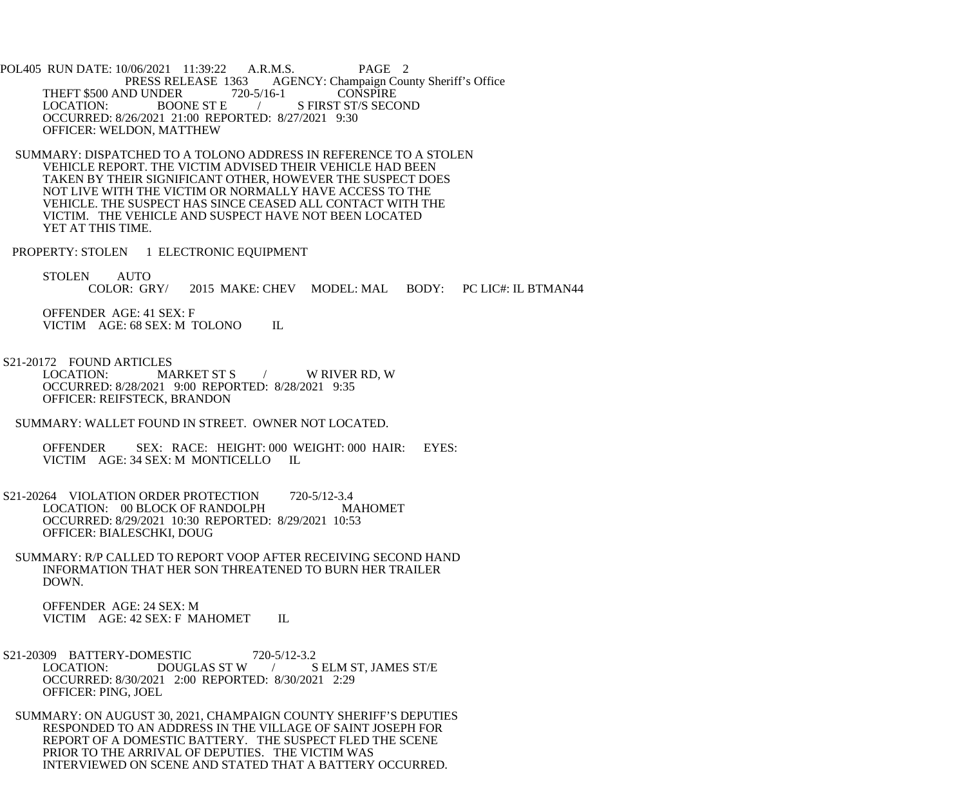POL405 RUN DATE: 10/06/2021 11:39:22 A.R.M.S. PAGE 2 PRESS RELEASE 1363 AGENCY: Champaign County Sheriff's Office THEFT \$500 AND UNDER 720-5/16-1 CONSPIRE<br>LOCATION: BOONE ST E / S FIRST ST/S SECO / S FIRST ST/S SECOND OCCURRED: 8/26/2021 21:00 REPORTED: 8/27/2021 9:30 OFFICER: WELDON, MATTHEW

 SUMMARY: DISPATCHED TO A TOLONO ADDRESS IN REFERENCE TO A STOLEN VEHICLE REPORT. THE VICTIM ADVISED THEIR VEHICLE HAD BEEN TAKEN BY THEIR SIGNIFICANT OTHER, HOWEVER THE SUSPECT DOES NOT LIVE WITH THE VICTIM OR NORMALLY HAVE ACCESS TO THE VEHICLE. THE SUSPECT HAS SINCE CEASED ALL CONTACT WITH THE VICTIM. THE VEHICLE AND SUSPECT HAVE NOT BEEN LOCATED YET AT THIS TIME.

PROPERTY: STOLEN 1 ELECTRONIC EQUIPMENT

STOLEN AUTO<br>COLOR: GRY/ 2015 MAKE: CHEV MODEL: MAL BODY: PC LIC#: IL BTMAN44

 OFFENDER AGE: 41 SEX: F VICTIM AGE: 68 SEX: M TOLONO IL

S21-20172 FOUND ARTICLES<br>LOCATION: MARKET ST S W RIVER RD, W

 OCCURRED: 8/28/2021 9:00 REPORTED: 8/28/2021 9:35 OFFICER: REIFSTECK, BRANDON

SUMMARY: WALLET FOUND IN STREET. OWNER NOT LOCATED.

 OFFENDER SEX: RACE: HEIGHT: 000 WEIGHT: 000 HAIR: EYES: VICTIM AGE: 34 SEX: M MONTICELLO IL

S21-20264 VIOLATION ORDER PROTECTION 720-5/12-3.4<br>LOCATION: 00 BLOCK OF RANDOLPH MAHOMET LOCATION: 00 BLOCK OF RANDOLPH OCCURRED: 8/29/2021 10:30 REPORTED: 8/29/2021 10:53 OFFICER: BIALESCHKI, DOUG

 SUMMARY: R/P CALLED TO REPORT VOOP AFTER RECEIVING SECOND HAND INFORMATION THAT HER SON THREATENED TO BURN HER TRAILER DOWN.

 OFFENDER AGE: 24 SEX: M VICTIM AGE: 42 SEX: F MAHOMET IL

S21-20309 BATTERY-DOMESTIC 720-5/12-3.2<br>LOCATION: DOUGLAS ST W / S LOCATION: DOUGLAS ST W / S ELM ST, JAMES ST/E OCCURRED: 8/30/2021 2:00 REPORTED: 8/30/2021 2:29 OFFICER: PING, JOEL

 SUMMARY: ON AUGUST 30, 2021, CHAMPAIGN COUNTY SHERIFF'S DEPUTIES RESPONDED TO AN ADDRESS IN THE VILLAGE OF SAINT JOSEPH FOR REPORT OF A DOMESTIC BATTERY. THE SUSPECT FLED THE SCENE PRIOR TO THE ARRIVAL OF DEPUTIES. THE VICTIM WAS INTERVIEWED ON SCENE AND STATED THAT A BATTERY OCCURRED.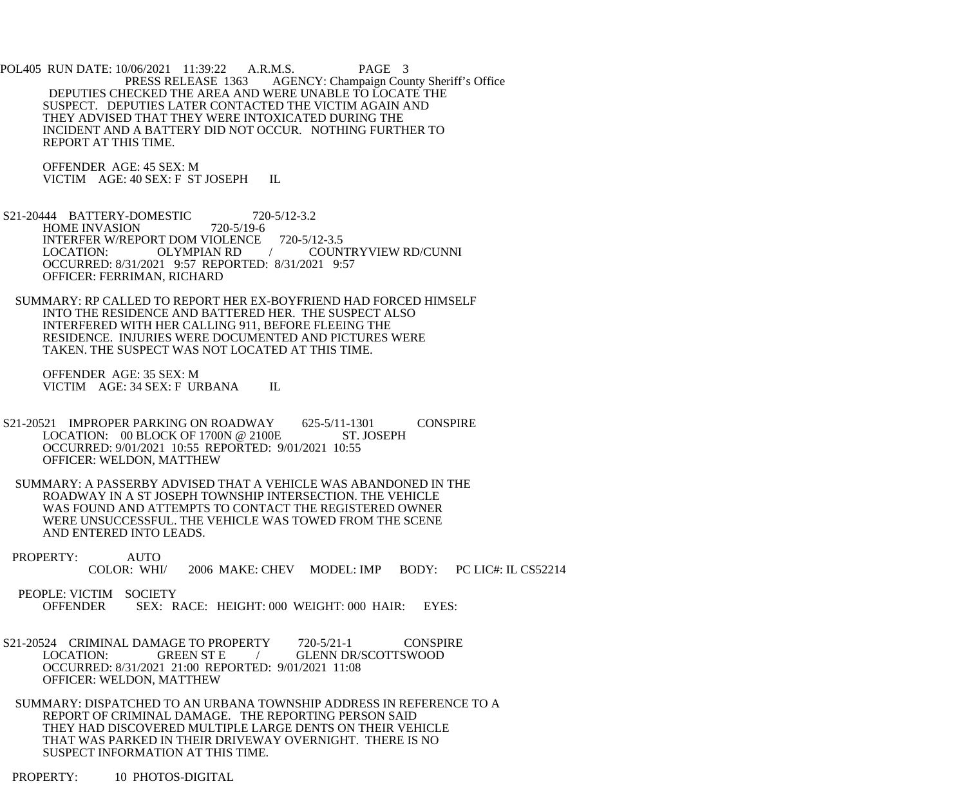POL405 RUN DATE: 10/06/2021 11:39:22 A.R.M.S. PAGE 3 PRESS RELEASE 1363 AGENCY: Champaign County Sheriff's Office DEPUTIES CHECKED THE AREA AND WERE UNABLE TO LOCATE THE SUSPECT. DEPUTIES LATER CONTACTED THE VICTIM AGAIN AND THEY ADVISED THAT THEY WERE INTOXICATED DURING THE INCIDENT AND A BATTERY DID NOT OCCUR. NOTHING FURTHER TO REPORT AT THIS TIME.

 OFFENDER AGE: 45 SEX: M VICTIM AGE: 40 SEX: F ST JOSEPH IL

 S21-20444 BATTERY-DOMESTIC 720-5/12-3.2 HOME INVASION 720-5/19-6 INTERFER W/REPORT DOM VIOLENCE 720-5/12-3.5<br>LOCATION: OLYMPIAN RD / COUN LOCATION: OLYMPIAN RD / COUNTRYVIEW RD/CUNNI OCCURRED: 8/31/2021 9:57 REPORTED: 8/31/2021 9:57 OFFICER: FERRIMAN, RICHARD

 SUMMARY: RP CALLED TO REPORT HER EX-BOYFRIEND HAD FORCED HIMSELF INTO THE RESIDENCE AND BATTERED HER. THE SUSPECT ALSO INTERFERED WITH HER CALLING 911, BEFORE FLEEING THE RESIDENCE. INJURIES WERE DOCUMENTED AND PICTURES WERE TAKEN. THE SUSPECT WAS NOT LOCATED AT THIS TIME.

 OFFENDER AGE: 35 SEX: M VICTIM AGE: 34 SEX: F URBANA IL

- S21-20521 IMPROPER PARKING ON ROADWAY 625-5/11-1301 CONSPIRE<br>LOCATION: 00 BLOCK OF 1700N @ 2100E ST. JOSEPH LOCATION:  $00$  BLOCK OF 1700N @ 2100E OCCURRED: 9/01/2021 10:55 REPORTED: 9/01/2021 10:55 OFFICER: WELDON, MATTHEW
- SUMMARY: A PASSERBY ADVISED THAT A VEHICLE WAS ABANDONED IN THE ROADWAY IN A ST JOSEPH TOWNSHIP INTERSECTION. THE VEHICLE WAS FOUND AND ATTEMPTS TO CONTACT THE REGISTERED OWNER WERE UNSUCCESSFUL. THE VEHICLE WAS TOWED FROM THE SCENE AND ENTERED INTO LEADS.
- PROPERTY: AUTO<br>COLOR: WHI/ 2006 MAKE: CHEV MODEL: IMP BODY: PC LIC#: IL CS52214

PEOPLE: VICTIM SOCIETY<br>OFFENDER SEX: R SEX: RACE: HEIGHT: 000 WEIGHT: 000 HAIR: EYES:

S21-20524 CRIMINAL DAMAGE TO PROPERTY 720-5/21-1 CONSPIRE<br>LOCATION: GREEN ST E / GLENN DR/SCOTTSWOOD / GLENN DR/SCOTTSWOOD OCCURRED: 8/31/2021 21:00 REPORTED: 9/01/2021 11:08 OFFICER: WELDON, MATTHEW

 SUMMARY: DISPATCHED TO AN URBANA TOWNSHIP ADDRESS IN REFERENCE TO A REPORT OF CRIMINAL DAMAGE. THE REPORTING PERSON SAID THEY HAD DISCOVERED MULTIPLE LARGE DENTS ON THEIR VEHICLE THAT WAS PARKED IN THEIR DRIVEWAY OVERNIGHT. THERE IS NO SUSPECT INFORMATION AT THIS TIME.

PROPERTY: 10 PHOTOS-DIGITAL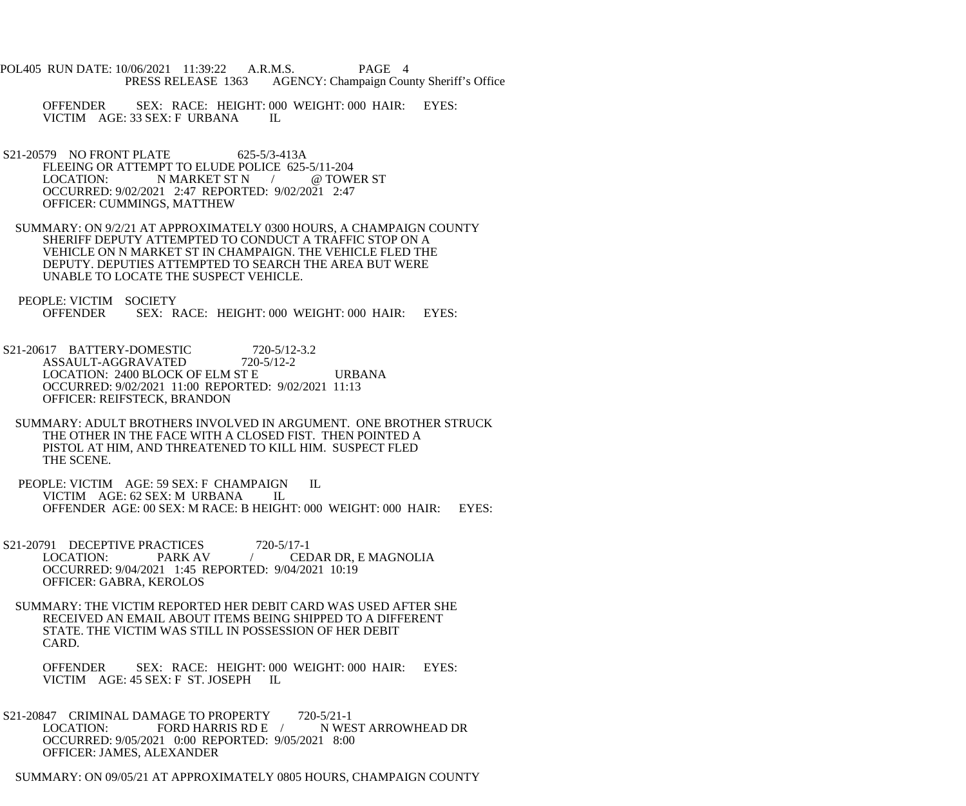- POL405 RUN DATE: 10/06/2021 11:39:22 A.R.M.S. PAGE 4 PRESS RELEASE 1363 AGENCY: Champaign County Sheriff's Office
	- OFFENDER SEX: RACE: HEIGHT: 000 WEIGHT: 000 HAIR: EYES: VICTIM AGE: 33 SEX: F URBANA IL
- S21-20579 NO FRONT PLATE 625-5/3-413A FLEEING OR ATTEMPT TO ELUDE POLICE 625-5/11-204<br>LOCATION: N MARKET ST N (@TOW) N MARKET ST N / @ TOWER ST OCCURRED: 9/02/2021 2:47 REPORTED: 9/02/2021 2:47 OFFICER: CUMMINGS, MATTHEW
- SUMMARY: ON 9/2/21 AT APPROXIMATELY 0300 HOURS, A CHAMPAIGN COUNTY SHERIFF DEPUTY ATTEMPTED TO CONDUCT A TRAFFIC STOP ON A VEHICLE ON N MARKET ST IN CHAMPAIGN. THE VEHICLE FLED THE DEPUTY. DEPUTIES ATTEMPTED TO SEARCH THE AREA BUT WERE UNABLE TO LOCATE THE SUSPECT VEHICLE.
- PEOPLE: VICTIM SOCIETY<br>OFFENDER SEX: R SEX: RACE: HEIGHT: 000 WEIGHT: 000 HAIR: EYES:
- S21-20617 BATTERY-DOMESTIC 720-5/12-3.2 ASSAULT-AGGRAVATED 720-5/12-2 LOCATION: 2400 BLOCK OF ELM ST E URBANA OCCURRED: 9/02/2021 11:00 REPORTED: 9/02/2021 11:13 OFFICER: REIFSTECK, BRANDON
- SUMMARY: ADULT BROTHERS INVOLVED IN ARGUMENT. ONE BROTHER STRUCK THE OTHER IN THE FACE WITH A CLOSED FIST. THEN POINTED A PISTOL AT HIM, AND THREATENED TO KILL HIM. SUSPECT FLED THE SCENE.
- PEOPLE: VICTIM AGE: 59 SEX: F CHAMPAIGN IL VICTIM AGE: 62 SEX: M URBANA IL OFFENDER AGE: 00 SEX: M RACE: B HEIGHT: 000 WEIGHT: 000 HAIR: EYES:
- S21-20791 DECEPTIVE PRACTICES 720-5/17-1 LOCATION: PARK AV / CEDAR DR, E MAGNOLIA OCCURRED: 9/04/2021 1:45 REPORTED: 9/04/2021 10:19 OFFICER: GABRA, KEROLOS
- SUMMARY: THE VICTIM REPORTED HER DEBIT CARD WAS USED AFTER SHE RECEIVED AN EMAIL ABOUT ITEMS BEING SHIPPED TO A DIFFERENT STATE. THE VICTIM WAS STILL IN POSSESSION OF HER DEBIT CARD.
	- OFFENDER SEX: RACE: HEIGHT: 000 WEIGHT: 000 HAIR: EYES: VICTIM AGE: 45 SEX: F ST. JOSEPH IL
- S21-20847 CRIMINAL DAMAGE TO PROPERTY 720-5/21-1<br>LOCATION: FORD HARRIS RD E / N WEST ARROWHEAD DR FORD HARRIS RD E  $/$  OCCURRED: 9/05/2021 0:00 REPORTED: 9/05/2021 8:00 OFFICER: JAMES, ALEXANDER
- SUMMARY: ON 09/05/21 AT APPROXIMATELY 0805 HOURS, CHAMPAIGN COUNTY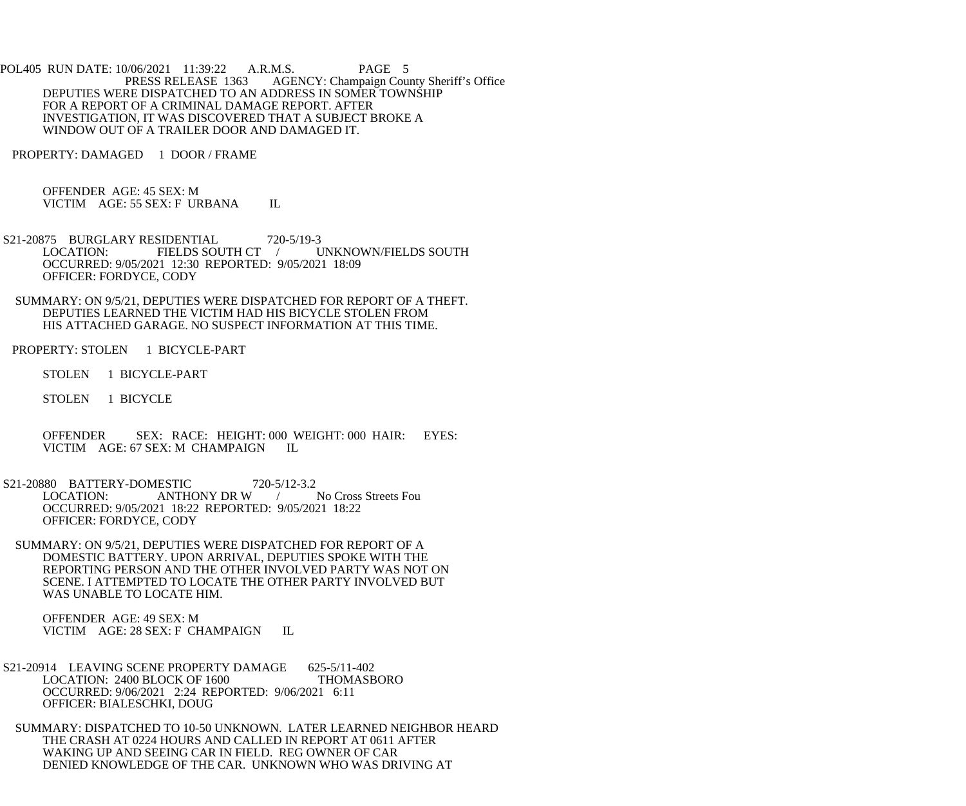POL405 RUN DATE: 10/06/2021 11:39:22 A.R.M.S. PAGE 5<br>PRESS RELEASE 1363 AGENCY: Champaign Cou AGENCY: Champaign County Sheriff's Office DEPUTIES WERE DISPATCHED TO AN ADDRESS IN SOMER TOWNSHIP FOR A REPORT OF A CRIMINAL DAMAGE REPORT. AFTER INVESTIGATION, IT WAS DISCOVERED THAT A SUBJECT BROKE A WINDOW OUT OF A TRAILER DOOR AND DAMAGED IT.

PROPERTY: DAMAGED 1 DOOR / FRAME

 OFFENDER AGE: 45 SEX: M VICTIM AGE: 55 SEX: F URBANA IL

S21-20875 BURGLARY RESIDENTIAL 720-5/19-3<br>LOCATION: FIELDS SOUTH CT UNKNOWN/FIELDS SOUTH OCCURRED: 9/05/2021 12:30 REPORTED: 9/05/2021 18:09 OFFICER: FORDYCE, CODY

 SUMMARY: ON 9/5/21, DEPUTIES WERE DISPATCHED FOR REPORT OF A THEFT. DEPUTIES LEARNED THE VICTIM HAD HIS BICYCLE STOLEN FROM HIS ATTACHED GARAGE. NO SUSPECT INFORMATION AT THIS TIME.

PROPERTY: STOLEN 1 BICYCLE-PART

STOLEN 1 BICYCLE-PART

STOLEN 1 BICYCLE

 OFFENDER SEX: RACE: HEIGHT: 000 WEIGHT: 000 HAIR: EYES: VICTIM AGE: 67 SEX: M CHAMPAIGN IL

S21-20880 BATTERY-DOMESTIC 720-5/12-3.2<br>LOCATION: ANTHONY DR W LOCATION: ANTHONY DR W / No Cross Streets Fou OCCURRED: 9/05/2021 18:22 REPORTED: 9/05/2021 18:22 OFFICER: FORDYCE, CODY

 SUMMARY: ON 9/5/21, DEPUTIES WERE DISPATCHED FOR REPORT OF A DOMESTIC BATTERY. UPON ARRIVAL, DEPUTIES SPOKE WITH THE REPORTING PERSON AND THE OTHER INVOLVED PARTY WAS NOT ON SCENE. I ATTEMPTED TO LOCATE THE OTHER PARTY INVOLVED BUT WAS UNABLE TO LOCATE HIM.

 OFFENDER AGE: 49 SEX: M VICTIM AGE: 28 SEX: F CHAMPAIGN IL

S21-20914 LEAVING SCENE PROPERTY DAMAGE 625-5/11-402 LOCATION: 2400 BLOCK OF 1600 THOMASBORO OCCURRED: 9/06/2021 2:24 REPORTED: 9/06/2021 6:11 OFFICER: BIALESCHKI, DOUG

 SUMMARY: DISPATCHED TO 10-50 UNKNOWN. LATER LEARNED NEIGHBOR HEARD THE CRASH AT 0224 HOURS AND CALLED IN REPORT AT 0611 AFTER WAKING UP AND SEEING CAR IN FIELD. REG OWNER OF CAR DENIED KNOWLEDGE OF THE CAR. UNKNOWN WHO WAS DRIVING AT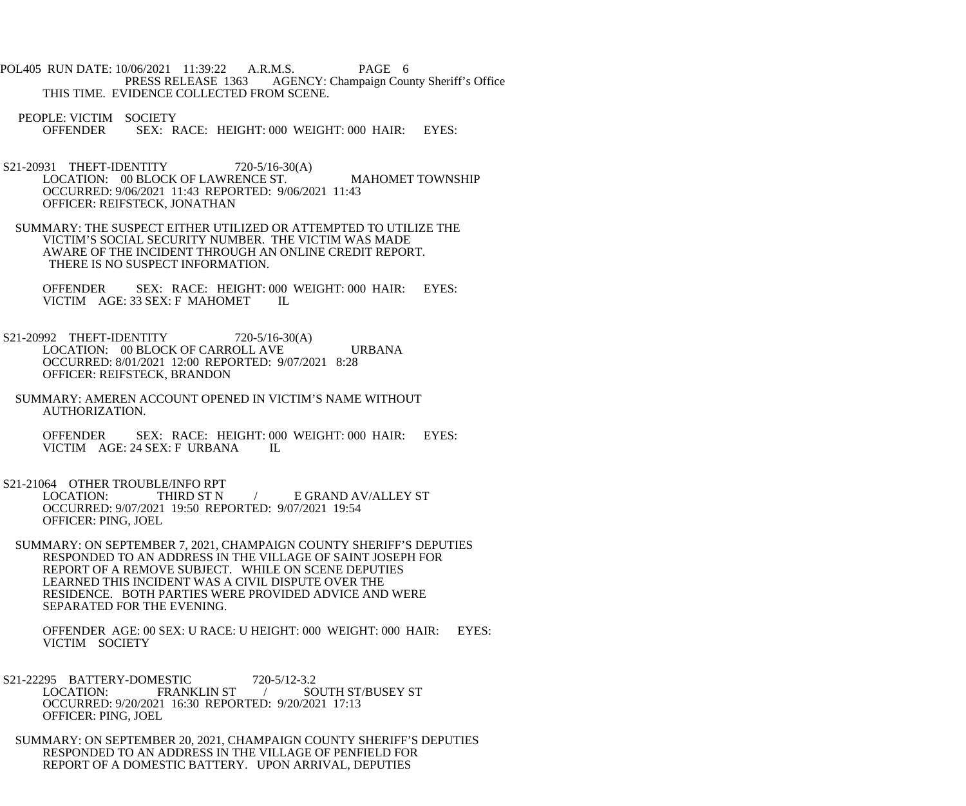POL405 RUN DATE: 10/06/2021 11:39:22 A.R.M.S. PAGE 6<br>PRESS RELEASE 1363 AGENCY: Champaign Cou AGENCY: Champaign County Sheriff's Office THIS TIME. EVIDENCE COLLECTED FROM SCENE.

PEOPLE: VICTIM SOCIETY<br>OFFENDER SEX: R SEX: RACE: HEIGHT: 000 WEIGHT: 000 HAIR: EYES:

- S21-20931 THEFT-IDENTITY 720-5/16-30(A) LOCATION: 00 BLOCK OF LAWRENCE ST. MAHOMET TOWNSHIP OCCURRED: 9/06/2021 11:43 REPORTED: 9/06/2021 11:43 OFFICER: REIFSTECK, JONATHAN
- SUMMARY: THE SUSPECT EITHER UTILIZED OR ATTEMPTED TO UTILIZE THE VICTIM'S SOCIAL SECURITY NUMBER. THE VICTIM WAS MADE AWARE OF THE INCIDENT THROUGH AN ONLINE CREDIT REPORT. THERE IS NO SUSPECT INFORMATION.

OFFENDER SEX: RACE: HEIGHT: 000 WEIGHT: 000 HAIR: EYES: VICTIM AGE: 33 SEX: F MAHOMET IL VICTIM AGE: 33 SEX: F MAHOMET

- S21-20992 THEFT-IDENTITY 720-5/16-30(A) LOCATION: 00 BLOCK OF CARROLL AVE URBANA OCCURRED: 8/01/2021 12:00 REPORTED: 9/07/2021 8:28 OFFICER: REIFSTECK, BRANDON
	- SUMMARY: AMEREN ACCOUNT OPENED IN VICTIM'S NAME WITHOUT AUTHORIZATION.

OFFENDER SEX: RACE: HEIGHT: 000 WEIGHT: 000 HAIR: EYES:<br>VICTIM AGE: 24 SEX: F URBANA IL VICTIM AGE: 24 SEX: F URBANA

S21-21064 OTHER TROUBLE/INFO RPT

 LOCATION: THIRD ST N / E GRAND AV/ALLEY ST OCCURRED: 9/07/2021 19:50 REPORTED: 9/07/2021 19:54 OFFICER: PING, JOEL

 SUMMARY: ON SEPTEMBER 7, 2021, CHAMPAIGN COUNTY SHERIFF'S DEPUTIES RESPONDED TO AN ADDRESS IN THE VILLAGE OF SAINT JOSEPH FOR REPORT OF A REMOVE SUBJECT. WHILE ON SCENE DEPUTIES LEARNED THIS INCIDENT WAS A CIVIL DISPUTE OVER THE RESIDENCE. BOTH PARTIES WERE PROVIDED ADVICE AND WERE SEPARATED FOR THE EVENING.

 OFFENDER AGE: 00 SEX: U RACE: U HEIGHT: 000 WEIGHT: 000 HAIR: EYES: VICTIM SOCIETY

- S21-22295 BATTERY-DOMESTIC 720-5/12-3.2<br>LOCATION: FRANKLIN ST / SC LOCATION: FRANKLIN ST / SOUTH ST/BUSEY ST OCCURRED: 9/20/2021 16:30 REPORTED: 9/20/2021 17:13 OFFICER: PING, JOEL
- SUMMARY: ON SEPTEMBER 20, 2021, CHAMPAIGN COUNTY SHERIFF'S DEPUTIES RESPONDED TO AN ADDRESS IN THE VILLAGE OF PENFIELD FOR REPORT OF A DOMESTIC BATTERY. UPON ARRIVAL, DEPUTIES